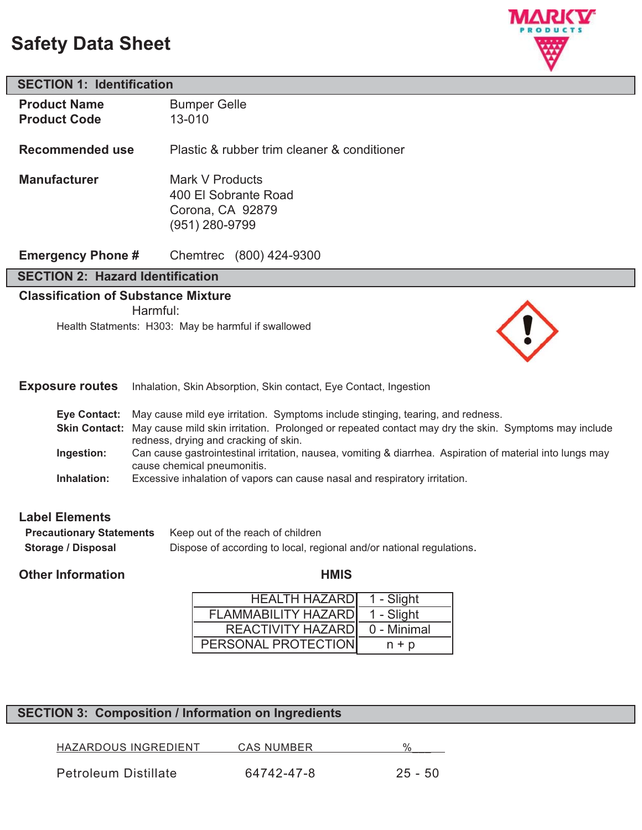# **Safety Data Sheet**



### **SECTION 1: Identification**

| <b>Product Name</b> | <b>Bumper Gelle</b>                         |
|---------------------|---------------------------------------------|
| <b>Product Code</b> | $13 - 010$                                  |
| Recommended use     | Plastic & rubber trim cleaner & conditioner |

**Manufacturer** Mark V Products 400 El Sobrante Road Corona, CA 92879 (951) 280-9799

**Emergency Phone #** Chemtrec (800) 424-9300

### **SECTION 2: Hazard Identification**

### **Classification of Substance Mixture**

Harmful:

Health Statments: H303: May be harmful if swallowed



|  | <b>Exposure routes</b> Inhalation, Skin Absorption, Skin contact, Eye Contact, Ingestion |
|--|------------------------------------------------------------------------------------------|
|--|------------------------------------------------------------------------------------------|

|             | Eye Contact: May cause mild eye irritation. Symptoms include stinging, tearing, and redness.                                             |
|-------------|------------------------------------------------------------------------------------------------------------------------------------------|
|             | Skin Contact: May cause mild skin irritation. Prolonged or repeated contact may dry the skin. Symptoms may include                       |
|             | redness, drying and cracking of skin.                                                                                                    |
| Ingestion:  | Can cause gastrointestinal irritation, nausea, vomiting & diarrhea. Aspiration of material into lungs may<br>cause chemical pneumonitis. |
| Inhalation: | Excessive inhalation of vapors can cause nasal and respiratory irritation.                                                               |

### **Label Elements**

| <b>Precautionary Statements</b> | Keep out of the reach of children                                    |  |
|---------------------------------|----------------------------------------------------------------------|--|
| Storage / Disposal              | Dispose of according to local, regional and/or national regulations. |  |

### **Other Information Community Community Community Community Community Community Community Community Community Community Community Community Community Community Community Community Community Community Community Community Com**

| <b>HEALTH HAZARDI</b> | 1 - Slight  |
|-----------------------|-------------|
| FLAMMABILITY HAZARD   | 1 - Slight  |
| REACTIVITY HAZARD     | 0 - Minimal |
| PERSONAL PROTECTION   | $n + p$     |

# **SECTION 3: Composition / Information on Ingredients**

HAZARDOUS INGREDIENT CAS NUMBER %

Petroleum Distillate 64742-47-8 25 - 50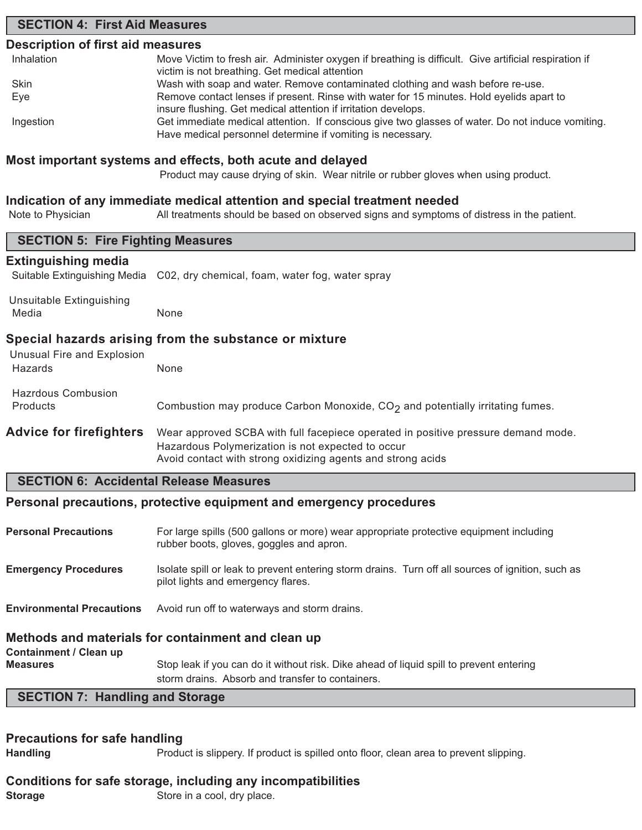### **SECTION 4: First Aid Measures**

#### **Description of first aid measures**

| Inhalation | Move Victim to fresh air. Administer oxygen if breathing is difficult. Give artificial respiration if |
|------------|-------------------------------------------------------------------------------------------------------|
|            | victim is not breathing. Get medical attention                                                        |
| Skin       | Wash with soap and water. Remove contaminated clothing and wash before re-use.                        |
| Eye        | Remove contact lenses if present. Rinse with water for 15 minutes. Hold eyelids apart to              |
|            | insure flushing. Get medical attention if irritation develops.                                        |
| Ingestion  | Get immediate medical attention. If conscious give two glasses of water. Do not induce vomiting.      |
|            | Have medical personnel determine if vomiting is necessary.                                            |

#### **Most important systems and effects, both acute and delayed**

Product may cause drying of skin. Wear nitrile or rubber gloves when using product.

#### **Indication of any immediate medical attention and special treatment needed**

Note to Physician All treatments should be based on observed signs and symptoms of distress in the patient.

| <b>SECTION 5: Fire Fighting Measures</b>                                            |                                                                                                                                                                                                       |  |  |
|-------------------------------------------------------------------------------------|-------------------------------------------------------------------------------------------------------------------------------------------------------------------------------------------------------|--|--|
| <b>Extinguishing media</b>                                                          |                                                                                                                                                                                                       |  |  |
| Suitable Extinguishing Media                                                        | C02, dry chemical, foam, water fog, water spray                                                                                                                                                       |  |  |
| Unsuitable Extinguishing<br>Media                                                   | None                                                                                                                                                                                                  |  |  |
| Special hazards arising from the substance or mixture<br>Unusual Fire and Explosion |                                                                                                                                                                                                       |  |  |
| Hazards                                                                             | None                                                                                                                                                                                                  |  |  |
| <b>Hazrdous Combusion</b>                                                           |                                                                                                                                                                                                       |  |  |
| Products                                                                            | Combustion may produce Carbon Monoxide, CO <sub>2</sub> and potentially irritating fumes.                                                                                                             |  |  |
| <b>Advice for firefighters</b>                                                      | Wear approved SCBA with full facepiece operated in positive pressure demand mode.<br>Hazardous Polymerization is not expected to occur<br>Avoid contact with strong oxidizing agents and strong acids |  |  |
| <b>SECTION 6: Accidental Release Measures</b>                                       |                                                                                                                                                                                                       |  |  |
|                                                                                     | Personal precautions, protective equipment and emergency procedures                                                                                                                                   |  |  |
| <b>Personal Precautions</b>                                                         | For large spills (500 gallons or more) wear appropriate protective equipment including<br>rubber boots, gloves, goggles and apron.                                                                    |  |  |
| <b>Emergency Procedures</b>                                                         | Isolate spill or leak to prevent entering storm drains. Turn off all sources of ignition, such as<br>pilot lights and emergency flares.                                                               |  |  |
| <b>Environmental Precautions</b>                                                    | Avoid run off to waterways and storm drains.                                                                                                                                                          |  |  |
|                                                                                     | Methods and materials for containment and clean up                                                                                                                                                    |  |  |

# **Containment / Clean up**

**Measures** Stop leak if you can do it without risk. Dike ahead of liquid spill to prevent entering storm drains. Absorb and transfer to containers.

# **SECTION 7: Handling and Storage**

#### **Precautions for safe handling**

**Handling** Product is slippery. If product is spilled onto floor, clean area to prevent slipping.

# **Conditions for safe storage, including any incompatibilities**

**Storage** Store in a cool, dry place.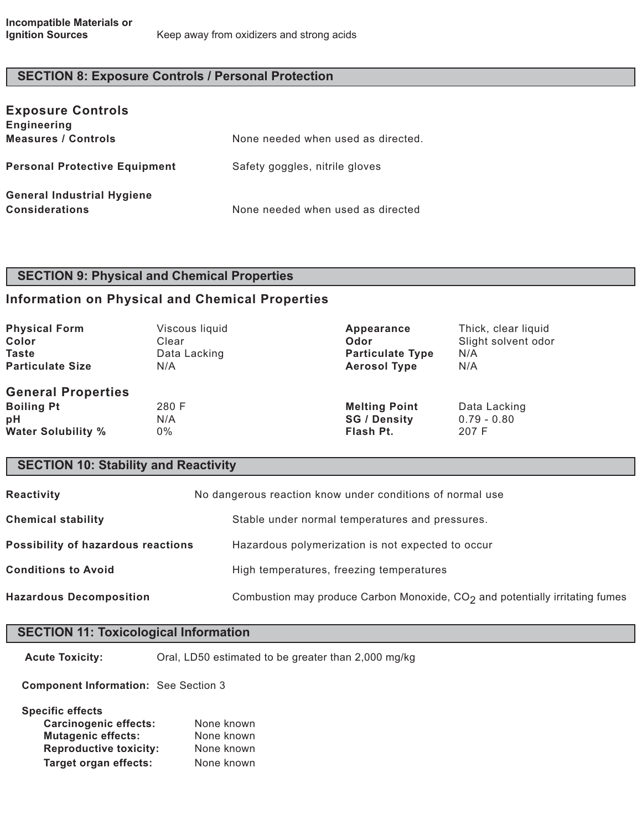### **SECTION 8: Exposure Controls / Personal Protection**

| <b>Exposure Controls</b><br><b>Engineering</b> |                                    |
|------------------------------------------------|------------------------------------|
| <b>Measures / Controls</b>                     | None needed when used as directed. |
| <b>Personal Protective Equipment</b>           | Safety goggles, nitrile gloves     |
| <b>General Industrial Hygiene</b>              |                                    |
| <b>Considerations</b>                          | None needed when used as directed  |

## **SECTION 9: Physical and Chemical Properties**

### **Information on Physical and Chemical Properties**

| <b>Physical Form</b>                                                              | Viscous liquid     | Appearance                                               | Thick, clear liquid                    |
|-----------------------------------------------------------------------------------|--------------------|----------------------------------------------------------|----------------------------------------|
| Color                                                                             | Clear              | Odor                                                     | Slight solvent odor                    |
| <b>Taste</b>                                                                      | Data Lacking       | <b>Particulate Type</b>                                  | N/A                                    |
| <b>Particulate Size</b>                                                           | N/A                | <b>Aerosol Type</b>                                      | N/A                                    |
| <b>General Properties</b><br><b>Boiling Pt</b><br>рH<br><b>Water Solubility %</b> | 280 F<br>N/A<br>0% | <b>Melting Point</b><br><b>SG / Density</b><br>Flash Pt. | Data Lacking<br>$0.79 - 0.80$<br>207 F |

### **SECTION 10: Stability and Reactivity**

| Reactivity                         | No dangerous reaction know under conditions of normal use                      |  |
|------------------------------------|--------------------------------------------------------------------------------|--|
| <b>Chemical stability</b>          | Stable under normal temperatures and pressures.                                |  |
| Possibility of hazardous reactions | Hazardous polymerization is not expected to occur                              |  |
| <b>Conditions to Avoid</b>         | High temperatures, freezing temperatures                                       |  |
| <b>Hazardous Decomposition</b>     | Combustion may produce Carbon Monoxide, $CO2$ and potentially irritating fumes |  |

### **SECTION 11: Toxicological Information**

**Acute Toxicity:** Oral, LD50 estimated to be greater than 2,000 mg/kg

**Component Information:** See Section 3

**Specific effects**

| <b>Carcinogenic effects:</b>  | None known |
|-------------------------------|------------|
| <b>Mutagenic effects:</b>     | None known |
| <b>Reproductive toxicity:</b> | None known |
| <b>Target organ effects:</b>  | None known |